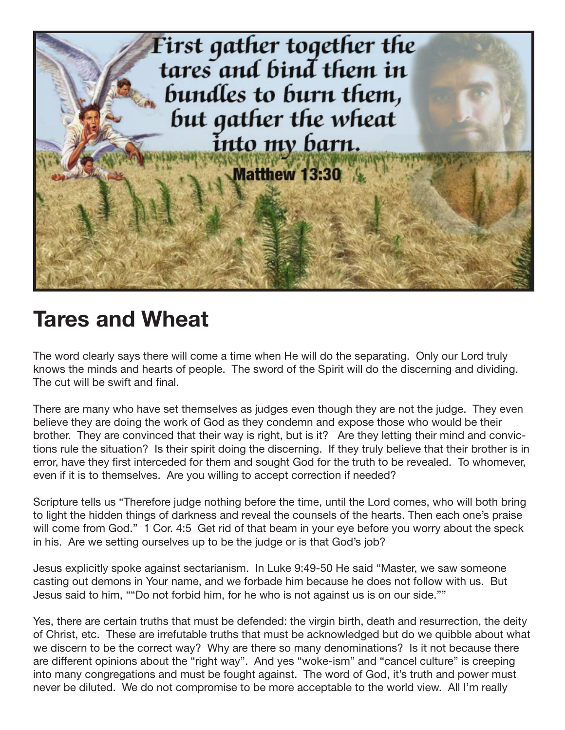

## **Tares and Wheat**

The word clearly says there will come a time when He will do the separating. Only our Lord truly knows the minds and hearts of people. The sword of the Spirit will do the discerning and dividing. The cut will be swift and final.

There are many who have set themselves as judges even though they are not the judge. They even believe they are doing the work of God as they condemn and expose those who would be their brother. They are convinced that their way is right, but is it? Are they letting their mind and convictions rule the situation? Is their spirit doing the discerning. If they truly believe that their brother is in error, have they first interceded for them and sought God for the truth to be revealed. To whomever, even if it is to themselves. Are you willing to accept correction if needed?

Scripture tells us "Therefore judge nothing before the time, until the Lord comes, who will both bring to light the hidden things of darkness and reveal the counsels of the hearts. Then each one's praise will come from God." 1 Cor. 4:5 Get rid of that beam in your eye before you worry about the speck in his. Are we setting ourselves up to be the judge or is that God's job?

Jesus explicitly spoke against sectarianism. In Luke 9:49-50 He said "Master, we saw someone casting out demons in Your name, and we forbade him because he does not follow with us. But Jesus said to him, ""Do not forbid him, for he who is not against us is on our side.""

Yes, there are certain truths that must be defended: the virgin birth, death and resurrection, the deity of Christ, etc. These are irrefutable truths that must be acknowledged but do we quibble about what we discern to be the correct way? Why are there so many denominations? Is it not because there are different opinions about the "right way". And yes "woke-ism" and "cancel culture" is creeping into many congregations and must be fought against. The word of God, it's truth and power must never be diluted. We do not compromise to be more acceptable to the world view. All I'm really